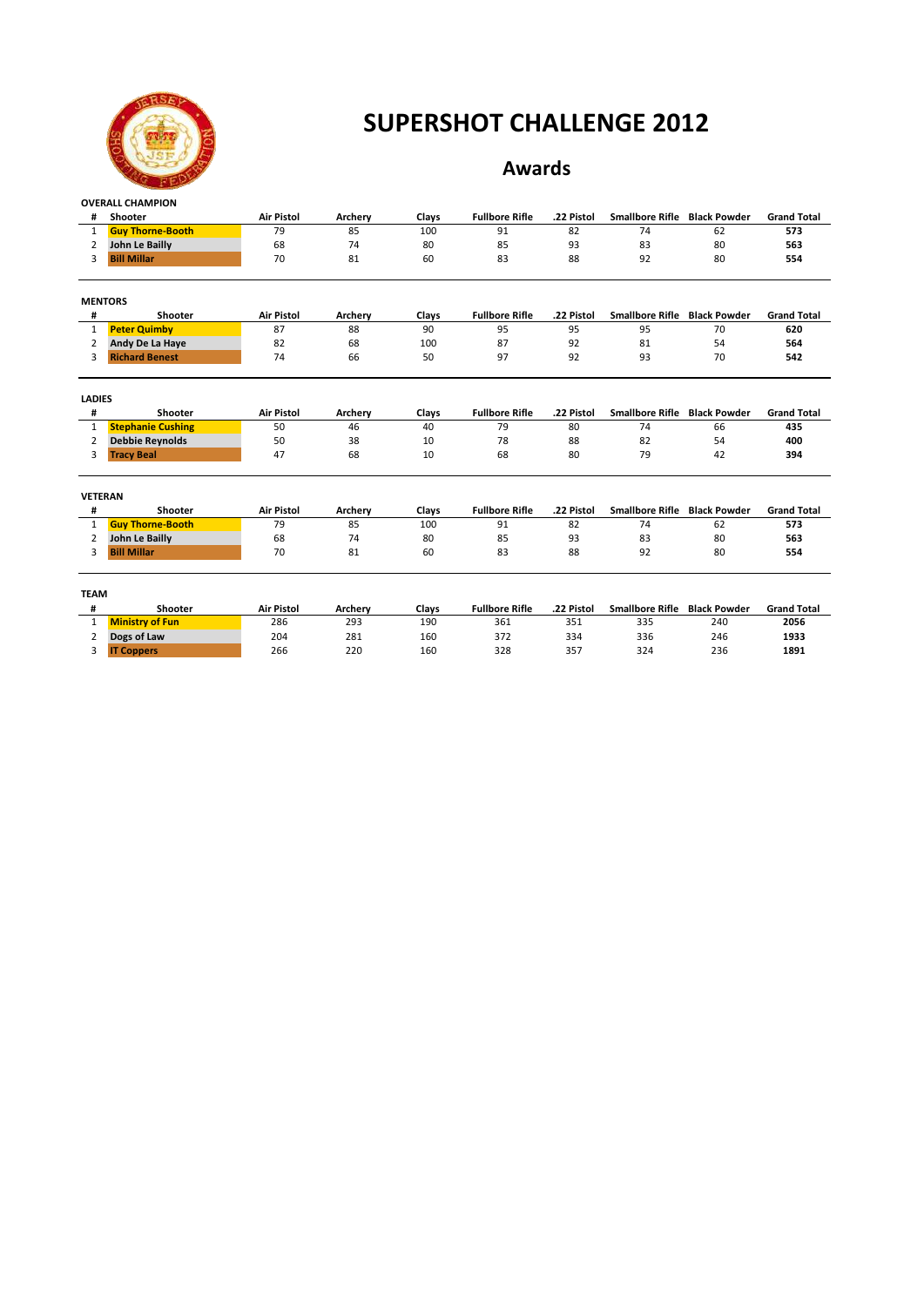

### **Awards**

| #              | Shooter                  | <b>Air Pistol</b> | Archery | Clays | <b>Fullbore Rifle</b> | .22 Pistol | Smallbore Rifle Black Powder        |                     | <b>Grand Total</b> |
|----------------|--------------------------|-------------------|---------|-------|-----------------------|------------|-------------------------------------|---------------------|--------------------|
| 1              | <b>Guy Thorne-Booth</b>  | 79                | 85      | 100   | 91                    | 82         | 74                                  | 62                  | 573                |
| 2              | John Le Bailly           | 68                | 74      | 80    | 85                    | 93         | 83                                  | 80                  | 563                |
| 3              | <b>Bill Millar</b>       | 70                | 81      | 60    | 83                    | 88         | 92                                  | 80                  | 554                |
|                | <b>MENTORS</b>           |                   |         |       |                       |            |                                     |                     |                    |
| #              | Shooter                  | <b>Air Pistol</b> | Archery | Clays | <b>Fullbore Rifle</b> | .22 Pistol | <b>Smallbore Rifle</b>              | <b>Black Powder</b> | <b>Grand Total</b> |
| 1              | <b>Peter Quimby</b>      | 87                | 88      | 90    | 95                    | 95         | 95                                  | 70                  | 620                |
| $\overline{2}$ | Andy De La Haye          | 82                | 68      | 100   | 87                    | 92         | 81                                  | 54                  | 564                |
| 3              | <b>Richard Benest</b>    | 74                | 66      | 50    | 97                    | 92         | 93                                  | 70                  | 542                |
| <b>LADIES</b>  |                          |                   |         |       |                       |            |                                     |                     |                    |
| #              | Shooter                  | <b>Air Pistol</b> | Archery | Clays | <b>Fullbore Rifle</b> | .22 Pistol | <b>Smallbore Rifle</b>              | <b>Black Powder</b> | <b>Grand Total</b> |
| $\mathbf{1}$   | <b>Stephanie Cushing</b> | 50                | 46      | 40    | 79                    | 80         | 74                                  | 66                  | 435                |
| 2              | <b>Debbie Reynolds</b>   | 50                | 38      | 10    | 78                    | 88         | 82                                  | 54                  | 400                |
| 3              | <b>Tracy Beal</b>        | 47                | 68      | 10    | 68                    | 80         | 79                                  | 42                  | 394                |
| <b>VETERAN</b> |                          |                   |         |       |                       |            |                                     |                     |                    |
| #              | Shooter                  | <b>Air Pistol</b> | Archery | Clays | <b>Fullbore Rifle</b> | .22 Pistol | Smallbore Rifle Black Powder        |                     | <b>Grand Total</b> |
| $\mathbf{1}$   | <b>Guy Thorne-Booth</b>  | 79                | 85      | 100   | 91                    | 82         | 74                                  | 62                  | 573                |
| $\overline{2}$ | John Le Bailly           | 68                | 74      | 80    | 85                    | 93         | 83                                  | 80                  | 563                |
| 3              | <b>Bill Millar</b>       | 70                | 81      | 60    | 83                    | 88         | 92                                  | 80                  | 554                |
| <b>TEAM</b>    |                          |                   |         |       |                       |            |                                     |                     |                    |
| #              | Shooter                  | <b>Air Pistol</b> | Archery | Clays | <b>Fullbore Rifle</b> | .22 Pistol | <b>Smallbore Rifle Black Powder</b> |                     | <b>Grand Total</b> |
| $\mathbf{1}$   | <b>Ministry of Fun</b>   | 286               | 293     | 190   | 361                   | 351        | 335                                 | 240                 | 2056               |
| $\overline{2}$ | Dogs of Law              | 204               | 281     | 160   | 372                   | 334        | 336                                 | 246                 | 1933               |
| 3              | <b>IT Coppers</b>        | 266               | 220     | 160   | 328                   | 357        | 324                                 | 236                 | 1891               |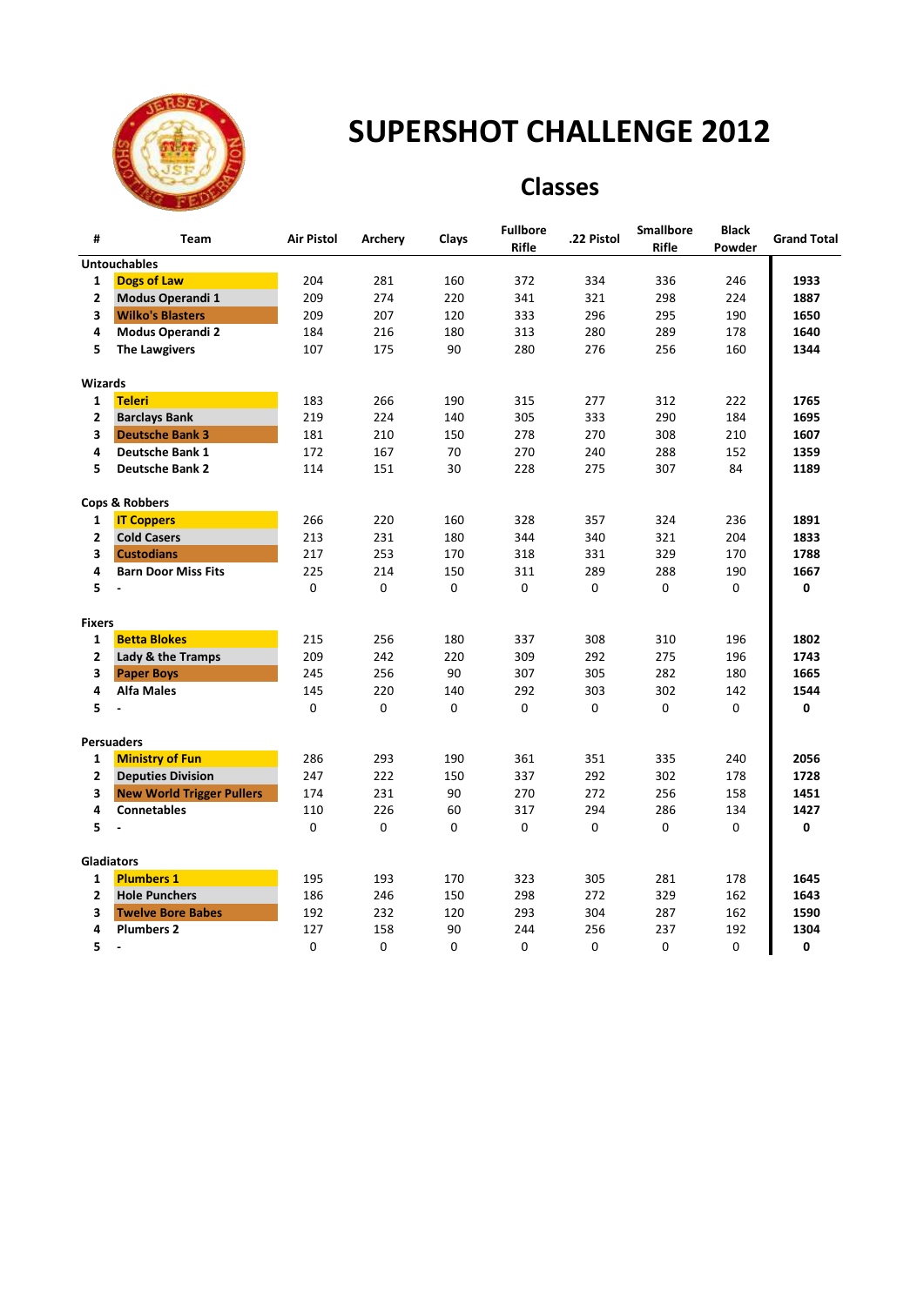

### **Classes**

| #                       | <b>Team</b>                      | <b>Air Pistol</b> | Archery     | Clays | <b>Fullbore</b><br>Rifle | .22 Pistol  | <b>Smallbore</b><br><b>Rifle</b> | <b>Black</b><br>Powder | <b>Grand Total</b> |
|-------------------------|----------------------------------|-------------------|-------------|-------|--------------------------|-------------|----------------------------------|------------------------|--------------------|
|                         | <b>Untouchables</b>              |                   |             |       |                          |             |                                  |                        |                    |
| $\mathbf{1}$            | <b>Dogs of Law</b>               | 204               | 281         | 160   | 372                      | 334         | 336                              | 246                    | 1933               |
| $\mathbf{2}$            | Modus Operandi 1                 | 209               | 274         | 220   | 341                      | 321         | 298                              | 224                    | 1887               |
| 3                       | <b>Wilko's Blasters</b>          | 209               | 207         | 120   | 333                      | 296         | 295                              | 190                    | 1650               |
| 4                       | Modus Operandi 2                 | 184               | 216         | 180   | 313                      | 280         | 289                              | 178                    | 1640               |
| 5                       | <b>The Lawgivers</b>             | 107               | 175         | 90    | 280                      | 276         | 256                              | 160                    | 1344               |
| <b>Wizards</b>          |                                  |                   |             |       |                          |             |                                  |                        |                    |
| $\mathbf{1}$            | <b>Teleri</b>                    | 183               | 266         | 190   | 315                      | 277         | 312                              | 222                    | 1765               |
| $\overline{2}$          | <b>Barclays Bank</b>             | 219               | 224         | 140   | 305                      | 333         | 290                              | 184                    | 1695               |
| 3                       | <b>Deutsche Bank 3</b>           | 181               | 210         | 150   | 278                      | 270         | 308                              | 210                    | 1607               |
| 4                       | <b>Deutsche Bank 1</b>           | 172               | 167         | 70    | 270                      | 240         | 288                              | 152                    | 1359               |
| 5                       | <b>Deutsche Bank 2</b>           | 114               | 151         | 30    | 228                      | 275         | 307                              | 84                     | 1189               |
|                         | <b>Cops &amp; Robbers</b>        |                   |             |       |                          |             |                                  |                        |                    |
| 1                       | <b>IT Coppers</b>                | 266               | 220         | 160   | 328                      | 357         | 324                              | 236                    | 1891               |
| $\mathbf{2}$            | <b>Cold Casers</b>               | 213               | 231         | 180   | 344                      | 340         | 321                              | 204                    | 1833               |
| $\overline{\mathbf{3}}$ | <b>Custodians</b>                | 217               | 253         | 170   | 318                      | 331         | 329                              | 170                    | 1788               |
| 4                       | <b>Barn Door Miss Fits</b>       | 225               | 214         | 150   | 311                      | 289         | 288                              | 190                    | 1667               |
| 5                       |                                  | $\mathbf 0$       | $\Omega$    | 0     | 0                        | $\mathbf 0$ | $\mathbf 0$                      | 0                      | 0                  |
| <b>Fixers</b>           |                                  |                   |             |       |                          |             |                                  |                        |                    |
| $\mathbf{1}$            | <b>Betta Blokes</b>              | 215               | 256         | 180   | 337                      | 308         | 310                              | 196                    | 1802               |
| $\overline{2}$          | Lady & the Tramps                | 209               | 242         | 220   | 309                      | 292         | 275                              | 196                    | 1743               |
| 3                       | <b>Paper Boys</b>                | 245               | 256         | 90    | 307                      | 305         | 282                              | 180                    | 1665               |
| 4                       | <b>Alfa Males</b>                | 145               | 220         | 140   | 292                      | 303         | 302                              | 142                    | 1544               |
| 5                       |                                  | $\mathbf 0$       | $\mathbf 0$ | 0     | 0                        | $\mathbf 0$ | 0                                | 0                      | 0                  |
|                         | <b>Persuaders</b>                |                   |             |       |                          |             |                                  |                        |                    |
| $\mathbf{1}$            | <b>Ministry of Fun</b>           | 286               | 293         | 190   | 361                      | 351         | 335                              | 240                    | 2056               |
| $\overline{2}$          | <b>Deputies Division</b>         | 247               | 222         | 150   | 337                      | 292         | 302                              | 178                    | 1728               |
| 3                       | <b>New World Trigger Pullers</b> | 174               | 231         | 90    | 270                      | 272         | 256                              | 158                    | 1451               |
| 4                       | <b>Connetables</b>               | 110               | 226         | 60    | 317                      | 294         | 286                              | 134                    | 1427               |
| 5                       | $\ddot{\phantom{a}}$             | $\mathbf 0$       | 0           | 0     | 0                        | 0           | $\mathbf 0$                      | 0                      | 0                  |
|                         | <b>Gladiators</b>                |                   |             |       |                          |             |                                  |                        |                    |
| $\mathbf{1}$            | <b>Plumbers 1</b>                | 195               | 193         | 170   | 323                      | 305         | 281                              | 178                    | 1645               |
| $\overline{2}$          | <b>Hole Punchers</b>             | 186               | 246         | 150   | 298                      | 272         | 329                              | 162                    | 1643               |
| 3                       | <b>Twelve Bore Babes</b>         | 192               | 232         | 120   | 293                      | 304         | 287                              | 162                    | 1590               |
| 4                       | <b>Plumbers 2</b>                | 127               | 158         | 90    | 244                      | 256         | 237                              | 192                    | 1304               |
| 5                       | $\blacksquare$                   | 0                 | 0           | 0     | 0                        | 0           | 0                                | 0                      | 0                  |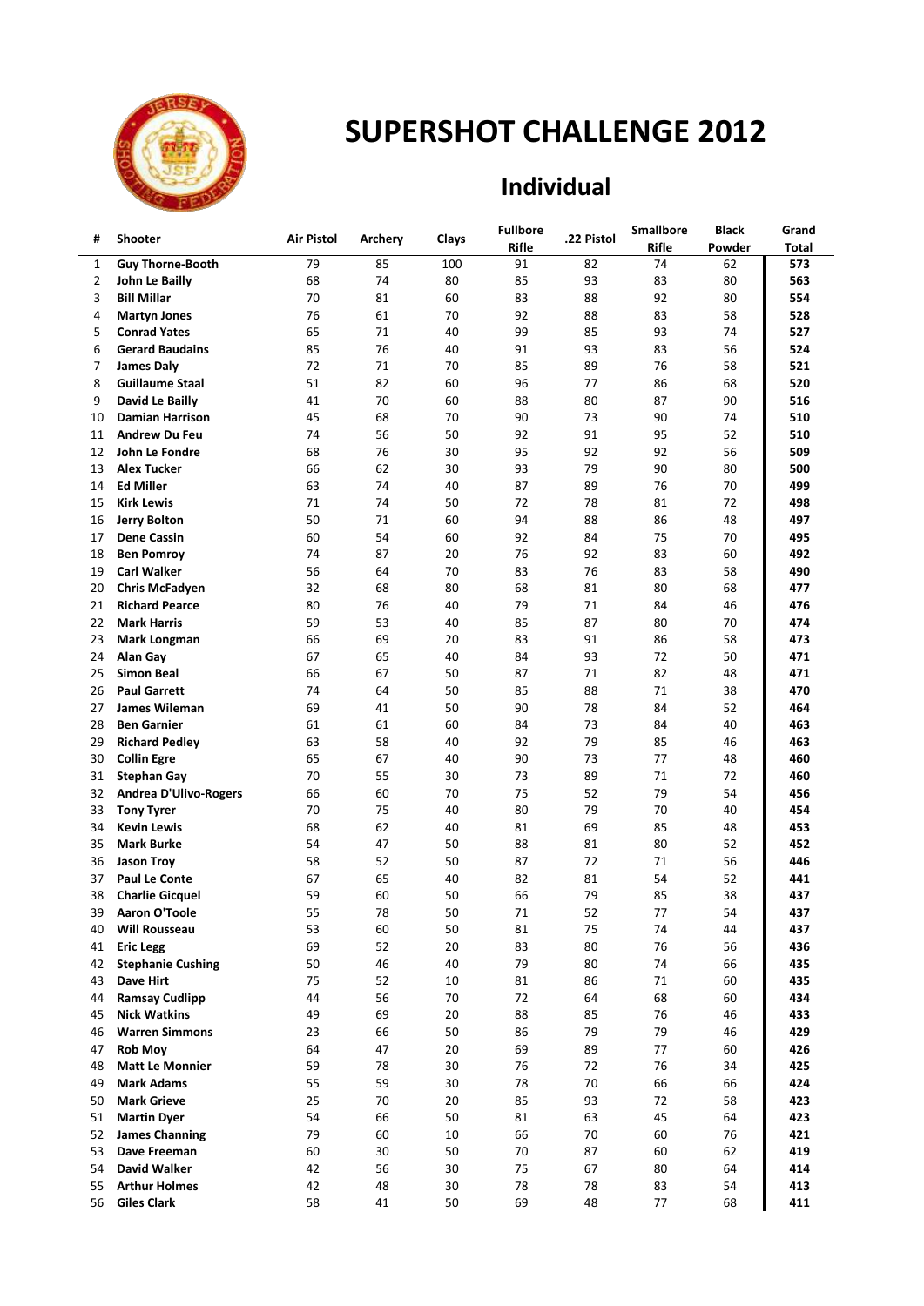

## **Individual**

| #  | <b>Shooter</b>               | Air Pistol |         |       | <b>Fullbore</b> | .22 Pistol | <b>Smallbore</b> | Black  | Grand |
|----|------------------------------|------------|---------|-------|-----------------|------------|------------------|--------|-------|
|    |                              |            | Archery | Clays | Rifle           |            | Rifle            | Powder | Total |
| 1  | <b>Guy Thorne-Booth</b>      | 79         | 85      | 100   | 91              | 82         | 74               | 62     | 573   |
| 2  | John Le Bailly               | 68         | 74      | 80    | 85              | 93         | 83               | 80     | 563   |
| 3  | <b>Bill Millar</b>           | 70         | 81      | 60    | 83              | 88         | 92               | 80     | 554   |
| 4  | <b>Martyn Jones</b>          | 76         | 61      | 70    | 92              | 88         | 83               | 58     | 528   |
| 5  | <b>Conrad Yates</b>          | 65         | 71      | 40    | 99              | 85         | 93               | 74     | 527   |
| 6  | <b>Gerard Baudains</b>       | 85         | 76      | 40    | 91              | 93         | 83               | 56     | 524   |
| 7  | James Daly                   | 72         | 71      | 70    | 85              | 89         | 76               | 58     | 521   |
| 8  | <b>Guillaume Staal</b>       | 51         | 82      | 60    | 96              | 77         | 86               | 68     | 520   |
| 9  | David Le Bailly              | 41         | 70      | 60    | 88              | 80         | 87               | 90     | 516   |
| 10 | <b>Damian Harrison</b>       | 45         | 68      | 70    | 90              | 73         | 90               | 74     | 510   |
| 11 | <b>Andrew Du Feu</b>         | 74         | 56      | 50    | 92              | 91         | 95               | 52     | 510   |
| 12 | John Le Fondre               | 68         | 76      | 30    | 95              | 92         | 92               | 56     | 509   |
| 13 | <b>Alex Tucker</b>           | 66         | 62      | 30    | 93              | 79         | 90               | 80     | 500   |
| 14 | <b>Ed Miller</b>             | 63         | 74      | 40    | 87              | 89         | 76               | 70     | 499   |
| 15 | <b>Kirk Lewis</b>            | 71         | 74      | 50    | 72              | 78         | 81               | 72     | 498   |
| 16 | <b>Jerry Bolton</b>          | 50         | 71      | 60    | 94              | 88         | 86               | 48     | 497   |
| 17 | <b>Dene Cassin</b>           | 60         | 54      | 60    | 92              | 84         | 75               | 70     | 495   |
| 18 | <b>Ben Pomroy</b>            | 74         | 87      | 20    | 76              | 92         | 83               | 60     | 492   |
| 19 | <b>Carl Walker</b>           | 56         | 64      | 70    | 83              | 76         | 83               | 58     | 490   |
| 20 | <b>Chris McFadyen</b>        | 32         | 68      | 80    | 68              | 81         | 80               | 68     | 477   |
| 21 | <b>Richard Pearce</b>        | 80         | 76      | 40    | 79              | 71         | 84               | 46     | 476   |
| 22 | <b>Mark Harris</b>           | 59         | 53      | 40    | 85              | 87         | 80               | 70     | 474   |
| 23 | <b>Mark Longman</b>          | 66         | 69      | 20    | 83              | 91         | 86               | 58     | 473   |
| 24 | Alan Gay                     | 67         | 65      | 40    | 84              | 93         | 72               | 50     | 471   |
| 25 | <b>Simon Beal</b>            | 66         | 67      | 50    | 87              | 71         | 82               | 48     | 471   |
| 26 | <b>Paul Garrett</b>          | 74         | 64      | 50    | 85              | 88         | 71               | 38     | 470   |
| 27 | James Wileman                | 69         | 41      | 50    | 90              | 78         | 84               | 52     | 464   |
| 28 | <b>Ben Garnier</b>           | 61         | 61      | 60    | 84              | 73         | 84               | 40     | 463   |
| 29 | <b>Richard Pedley</b>        | 63         | 58      | 40    | 92              | 79         | 85               | 46     | 463   |
| 30 | <b>Collin Egre</b>           | 65         | 67      | 40    | 90              | 73         | 77               | 48     | 460   |
| 31 | <b>Stephan Gay</b>           | 70         | 55      | 30    | 73              | 89         | 71               | 72     | 460   |
| 32 | <b>Andrea D'Ulivo-Rogers</b> | 66         | 60      | 70    | 75              | 52         | 79               | 54     | 456   |
| 33 | <b>Tony Tyrer</b>            | 70         | 75      | 40    | 80              | 79         | 70               | 40     | 454   |
| 34 | <b>Kevin Lewis</b>           | 68         | 62      | 40    | 81              | 69         | 85               | 48     | 453   |
| 35 | <b>Mark Burke</b>            | 54         | 47      | 50    | 88              | 81         | 80               | 52     | 452   |
| 36 | <b>Jason Troy</b>            | 58         | 52      | 50    | 87              | 72         | 71               | 56     | 446   |
| 37 | <b>Paul Le Conte</b>         | 67         | 65      | 40    | 82              | 81         | 54               | 52     | 441   |
| 38 | <b>Charlie Gicquel</b>       | 59         | 60      | 50    | 66              | 79         | 85               | 38     | 437   |
| 39 | Aaron O'Toole                | 55         | 78      | 50    | 71              | 52         | 77               | 54     | 437   |
| 40 | <b>Will Rousseau</b>         | 53         | 60      | 50    | 81              | 75         | 74               | 44     | 437   |
| 41 | <b>Eric Legg</b>             | 69         | 52      | 20    | 83              | 80         | 76               | 56     | 436   |
| 42 | <b>Stephanie Cushing</b>     | 50         | 46      | 40    | 79              | 80         | 74               | 66     | 435   |
| 43 | Dave Hirt                    | 75         | 52      | 10    | 81              | 86         | 71               | 60     | 435   |
| 44 | <b>Ramsay Cudlipp</b>        | 44         | 56      | 70    | 72              | 64         | 68               | 60     | 434   |
| 45 | <b>Nick Watkins</b>          | 49         | 69      | 20    | 88              | 85         | 76               | 46     | 433   |
| 46 | <b>Warren Simmons</b>        | 23         | 66      | 50    | 86              | 79         | 79               | 46     | 429   |
| 47 | <b>Rob Moy</b>               | 64         | 47      | 20    | 69              | 89         | 77               | 60     | 426   |
| 48 | <b>Matt Le Monnier</b>       | 59         | 78      | 30    | 76              | 72         | 76               | 34     | 425   |
| 49 | <b>Mark Adams</b>            | 55         | 59      | 30    | 78              | 70         | 66               | 66     | 424   |
| 50 | <b>Mark Grieve</b>           | 25         | 70      | 20    | 85              | 93         | 72               | 58     | 423   |
| 51 | <b>Martin Dyer</b>           | 54         | 66      | 50    | 81              | 63         | 45               | 64     | 423   |
| 52 | <b>James Channing</b>        | 79         | 60      | 10    | 66              | 70         | 60               | 76     | 421   |
| 53 | Dave Freeman                 | 60         | 30      | 50    | 70              | 87         | 60               | 62     | 419   |
| 54 | David Walker                 | 42         | 56      | 30    | 75              | 67         | 80               | 64     | 414   |
| 55 | <b>Arthur Holmes</b>         | 42         | 48      | 30    | 78              | 78         | 83               | 54     | 413   |
| 56 | <b>Giles Clark</b>           | 58         | 41      | 50    | 69              | 48         | 77               | 68     | 411   |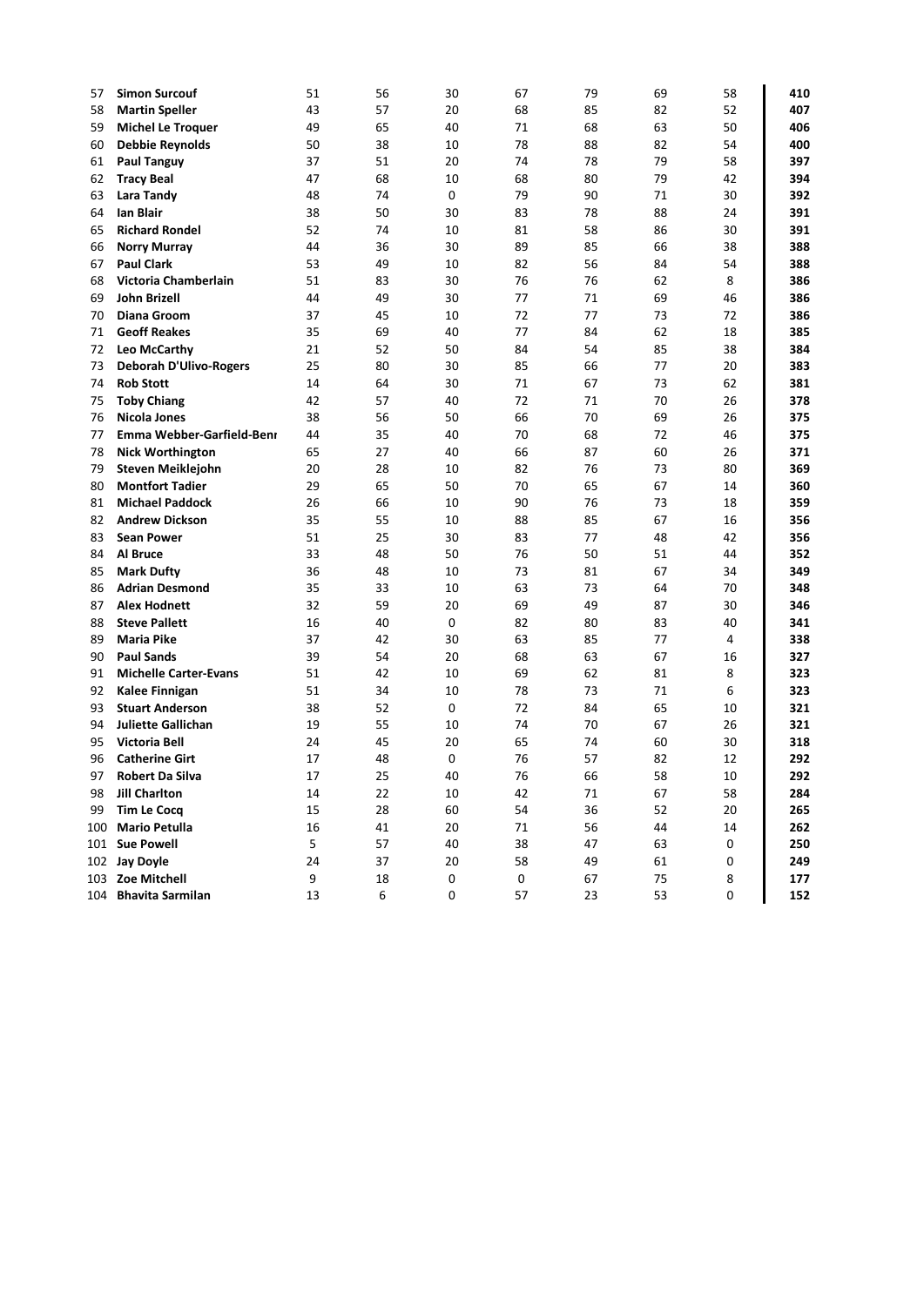| 57       | <b>Simon Surcouf</b>                       | 51       | 56       | 30       | 67       | 79       | 69       | 58       | 410        |
|----------|--------------------------------------------|----------|----------|----------|----------|----------|----------|----------|------------|
| 58       | <b>Martin Speller</b>                      | 43       | 57       | 20       | 68       | 85       | 82       | 52       | 407        |
| 59       | <b>Michel Le Troquer</b>                   | 49       | 65       | 40       | 71       | 68       | 63       | 50       | 406        |
| 60       | <b>Debbie Reynolds</b>                     | 50       | 38       | 10       | 78       | 88       | 82       | 54       | 400        |
| 61       | <b>Paul Tanguy</b>                         | 37       | 51       | 20       | 74       | 78       | 79       | 58       | 397        |
| 62       | <b>Tracy Beal</b>                          | 47       | 68       | 10       | 68       | 80       | 79       | 42       | 394        |
| 63       | <b>Lara Tandy</b>                          | 48       | 74       | 0        | 79       | 90       | 71       | 30       | 392        |
| 64       | Ian Blair                                  | 38       | 50       | 30       | 83       | 78       | 88       | 24       | 391        |
| 65       | <b>Richard Rondel</b>                      | 52       | 74       | 10       | 81       | 58       | 86       | 30       | 391        |
| 66       | <b>Norry Murray</b>                        | 44       | 36       | 30       | 89       | 85       | 66       | 38       | 388        |
| 67       | <b>Paul Clark</b>                          | 53       | 49       | 10       | 82       | 56       | 84       | 54       | 388        |
| 68       | Victoria Chamberlain                       | 51       | 83       | 30       | 76       | 76       | 62       | 8        | 386        |
| 69       | John Brizell                               | 44       | 49       | 30       | 77       | 71       | 69       | 46       | 386        |
| 70       | <b>Diana Groom</b>                         | 37       | 45       | 10       | 72       | 77       | 73       | 72       | 386        |
| 71       | <b>Geoff Reakes</b>                        | 35       | 69       | 40       | 77       | 84       | 62       | 18       | 385        |
| 72       | Leo McCarthy                               | 21       | 52       | 50       | 84       | 54       | 85       | 38       | 384        |
| 73       | <b>Deborah D'Ulivo-Rogers</b>              | 25       | 80       | 30       | 85       | 66       | 77       | 20       | 383        |
| 74       | <b>Rob Stott</b>                           | 14       | 64       | 30       | 71       | 67       | 73       | 62       | 381        |
| 75       | <b>Toby Chiang</b>                         | 42       | 57       | 40       | 72       | 71       | 70       | 26       | 378        |
| 76       | <b>Nicola Jones</b>                        | 38       | 56       | 50       | 66       | 70       | 69       | 26       | 375        |
| 77       | Emma Webber-Garfield-Benr                  | 44       | 35       | 40       | 70       | 68       | 72       | 46       | 375        |
| 78       | <b>Nick Worthington</b>                    | 65       | 27       | 40       | 66       | 87       | 60       | 26       | 371        |
| 79       | Steven Meiklejohn                          | 20       | 28       | 10       | 82       | 76       | 73       | 80       | 369        |
| 80       | <b>Montfort Tadier</b>                     | 29       | 65       | 50       | 70       | 65       | 67       | 14       | 360        |
| 81       | <b>Michael Paddock</b>                     | 26       | 66       | 10       | 90       | 76       | 73       | 18       | 359        |
| 82       | <b>Andrew Dickson</b>                      | 35       | 55<br>25 | 10       | 88<br>83 | 85<br>77 | 67       | 16<br>42 | 356        |
| 83       | <b>Sean Power</b>                          | 51       | 48       | 30       | 76       |          | 48       |          | 356        |
| 84       | Al Bruce                                   | 33<br>36 | 48       | 50       |          | 50       | 51<br>67 | 44       | 352<br>349 |
| 85<br>86 | <b>Mark Dufty</b><br><b>Adrian Desmond</b> | 35       | 33       | 10<br>10 | 73<br>63 | 81<br>73 | 64       | 34<br>70 | 348        |
| 87       | <b>Alex Hodnett</b>                        | 32       | 59       | 20       | 69       | 49       | 87       | 30       | 346        |
| 88       | <b>Steve Pallett</b>                       | 16       | 40       | 0        | 82       | 80       | 83       | 40       | 341        |
| 89       | <b>Maria Pike</b>                          | 37       | 42       | 30       | 63       | 85       | 77       | 4        | 338        |
| 90       | <b>Paul Sands</b>                          | 39       | 54       | 20       | 68       | 63       | 67       | 16       | 327        |
| 91       | <b>Michelle Carter-Evans</b>               | 51       | 42       | 10       | 69       | 62       | 81       | 8        | 323        |
| 92       | Kalee Finnigan                             | 51       | 34       | 10       | 78       | 73       | 71       | 6        | 323        |
| 93       | <b>Stuart Anderson</b>                     | 38       | 52       | 0        | 72       | 84       | 65       | 10       | 321        |
| 94       | <b>Juliette Gallichan</b>                  | 19       | 55       | 10       | 74       | 70       | 67       | 26       | 321        |
| 95       | Victoria Bell                              | 24       | 45       | 20       | 65       | 74       | 60       | 30       | 318        |
| 96       | <b>Catherine Girt</b>                      | 17       | 48       | 0        | 76       | 57       | 82       | 12       | 292        |
| 97       | <b>Robert Da Silva</b>                     | 17       | 25       | 40       | 76       | 66       | 58       | 10       | 292        |
| 98       | <b>Jill Charlton</b>                       | 14       | 22       | 10       | 42       | 71       | 67       | 58       | 284        |
| 99       | <b>Tim Le Cocq</b>                         | 15       | 28       | 60       | 54       | 36       | 52       | 20       | 265        |
| 100      | <b>Mario Petulla</b>                       | 16       | 41       | 20       | 71       | 56       | 44       | 14       | 262        |
| 101      | <b>Sue Powell</b>                          | 5        | 57       | 40       | 38       | 47       | 63       | 0        | 250        |
| 102      | <b>Jay Doyle</b>                           | 24       | 37       | 20       | 58       | 49       | 61       | 0        | 249        |
| 103      | Zoe Mitchell                               | 9        | 18       | 0        | 0        | 67       | 75       | 8        | 177        |
|          | 104 Bhavita Sarmilan                       | 13       | 6        | 0        | 57       | 23       | 53       | 0        | 152        |
|          |                                            |          |          |          |          |          |          |          |            |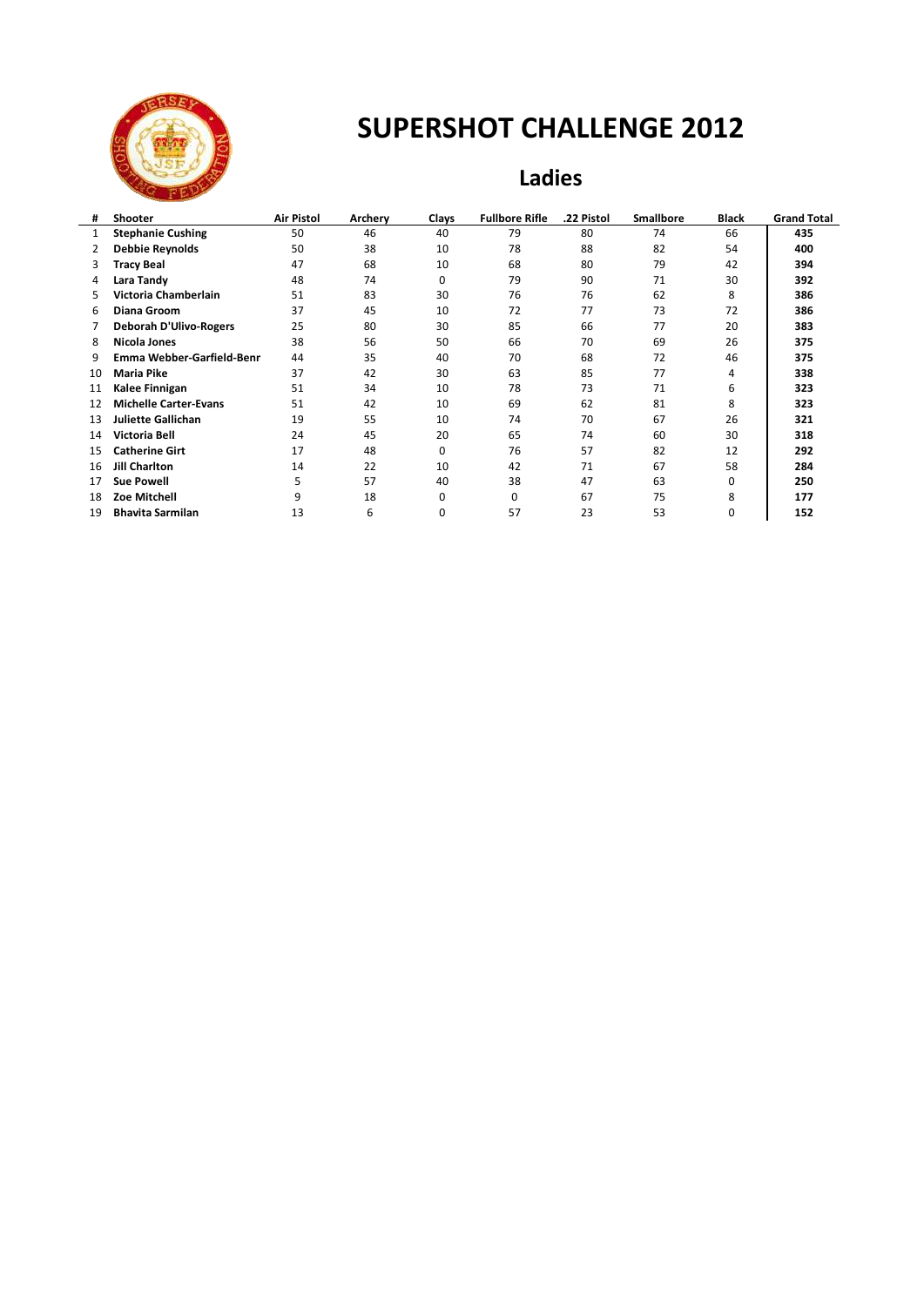

### **Ladies**

| #  | Shooter                       | <b>Air Pistol</b> | Archery | Clays    | <b>Fullbore Rifle</b> | .22 Pistol | <b>Smallbore</b> | Black | <b>Grand Total</b> |
|----|-------------------------------|-------------------|---------|----------|-----------------------|------------|------------------|-------|--------------------|
| 1  | <b>Stephanie Cushing</b>      | 50                | 46      | 40       | 79                    | 80         | 74               | 66    | 435                |
| 2  | Debbie Reynolds               | 50                | 38      | 10       | 78                    | 88         | 82               | 54    | 400                |
| 3  | Tracy Beal                    | 47                | 68      | 10       | 68                    | 80         | 79               | 42    | 394                |
| 4  | Lara Tandy                    | 48                | 74      | $\Omega$ | 79                    | 90         | 71               | 30    | 392                |
| 5. | Victoria Chamberlain          | 51                | 83      | 30       | 76                    | 76         | 62               | 8     | 386                |
| 6  | <b>Diana Groom</b>            | 37                | 45      | 10       | 72                    | 77         | 73               | 72    | 386                |
|    | <b>Deborah D'Ulivo-Rogers</b> | 25                | 80      | 30       | 85                    | 66         | 77               | 20    | 383                |
| 8  | <b>Nicola Jones</b>           | 38                | 56      | 50       | 66                    | 70         | 69               | 26    | 375                |
| 9  | Emma Webber-Garfield-Benn     | 44                | 35      | 40       | 70                    | 68         | 72               | 46    | 375                |
| 10 | <b>Maria Pike</b>             | 37                | 42      | 30       | 63                    | 85         | 77               | 4     | 338                |
| 11 | Kalee Finnigan                | 51                | 34      | 10       | 78                    | 73         | 71               | 6     | 323                |
| 12 | <b>Michelle Carter-Evans</b>  | 51                | 42      | 10       | 69                    | 62         | 81               | 8     | 323                |
| 13 | <b>Juliette Gallichan</b>     | 19                | 55      | 10       | 74                    | 70         | 67               | 26    | 321                |
| 14 | Victoria Bell                 | 24                | 45      | 20       | 65                    | 74         | 60               | 30    | 318                |
| 15 | <b>Catherine Girt</b>         | 17                | 48      | $\Omega$ | 76                    | 57         | 82               | 12    | 292                |
| 16 | <b>Jill Charlton</b>          | 14                | 22      | 10       | 42                    | 71         | 67               | 58    | 284                |
| 17 | <b>Sue Powell</b>             | 5                 | 57      | 40       | 38                    | 47         | 63               | 0     | 250                |
| 18 | Zoe Mitchell                  | 9                 | 18      | $\Omega$ | 0                     | 67         | 75               | 8     | 177                |
| 19 | <b>Bhavita Sarmilan</b>       | 13                | 6       | 0        | 57                    | 23         | 53               | 0     | 152                |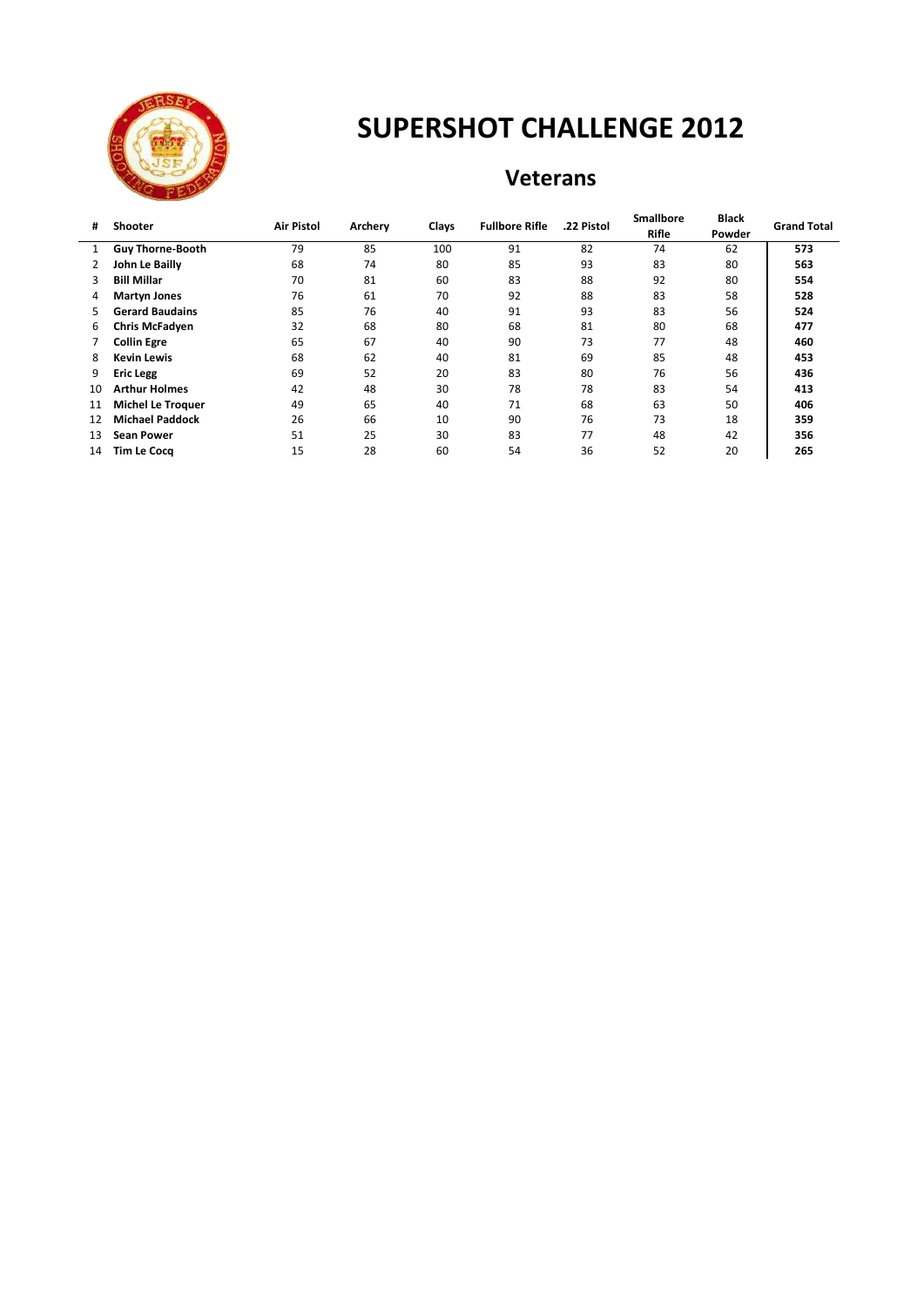

#### **Veterans**

| #  | Shooter                  | <b>Air Pistol</b> | Archery | Clays    | <b>Fullbore Rifle</b> | .22 Pistol | <b>Smallbore</b> | <b>Black</b> | <b>Grand Total</b> |
|----|--------------------------|-------------------|---------|----------|-----------------------|------------|------------------|--------------|--------------------|
|    |                          |                   |         |          |                       |            | <b>Rifle</b>     | Powder       |                    |
| 1  | <b>Guy Thorne-Booth</b>  | 79                | 85      | 100      | 91                    | 82         | 74               | 62           | 573                |
|    | John Le Bailly           | 68                | 74      | 80       | 85                    | 93         | 83               | 80           | 563                |
|    | <b>Bill Millar</b>       | 70                | 81      | 60<br>83 |                       | 88         | 92               | 80           | 554                |
| 4  | <b>Martyn Jones</b>      | 76                | 61      | 70       | 92                    | 88         | 83               | 58           | 528                |
| 5. | <b>Gerard Baudains</b>   | 85                | 76      | 40       | 91                    | 93         | 83               | 56           | 524                |
| 6  | <b>Chris McFadyen</b>    | 32                | 68      | 80       | 68                    | 81         | 80               | 68           | 477                |
|    | <b>Collin Egre</b>       | 65                | 67      | 40       | 90                    | 73         | 77               | 48           | 460                |
| 8  | <b>Kevin Lewis</b>       | 68                | 62      | 40       | 81                    | 69         | 85               | 48           | 453                |
| 9  | <b>Eric Legg</b>         | 69                | 52      | 20       | 83                    | 80         | 76               | 56           | 436                |
| 10 | <b>Arthur Holmes</b>     | 42                | 48      | 30       | 78                    | 78         | 83               | 54           | 413                |
| 11 | <b>Michel Le Troquer</b> | 49                | 65      | 40       | 71                    | 68         | 63               | 50           | 406                |
| 12 | <b>Michael Paddock</b>   | 26                | 66      | 10       | 90                    | 76         | 73               | 18           | 359                |
| 13 | <b>Sean Power</b>        | 51                | 25      | 30       | 83                    | 77         | 48               | 42           | 356                |
| 14 | <b>Tim Le Cocq</b>       | 15                | 28      | 60       | 54                    | 36         | 52               | 20           | 265                |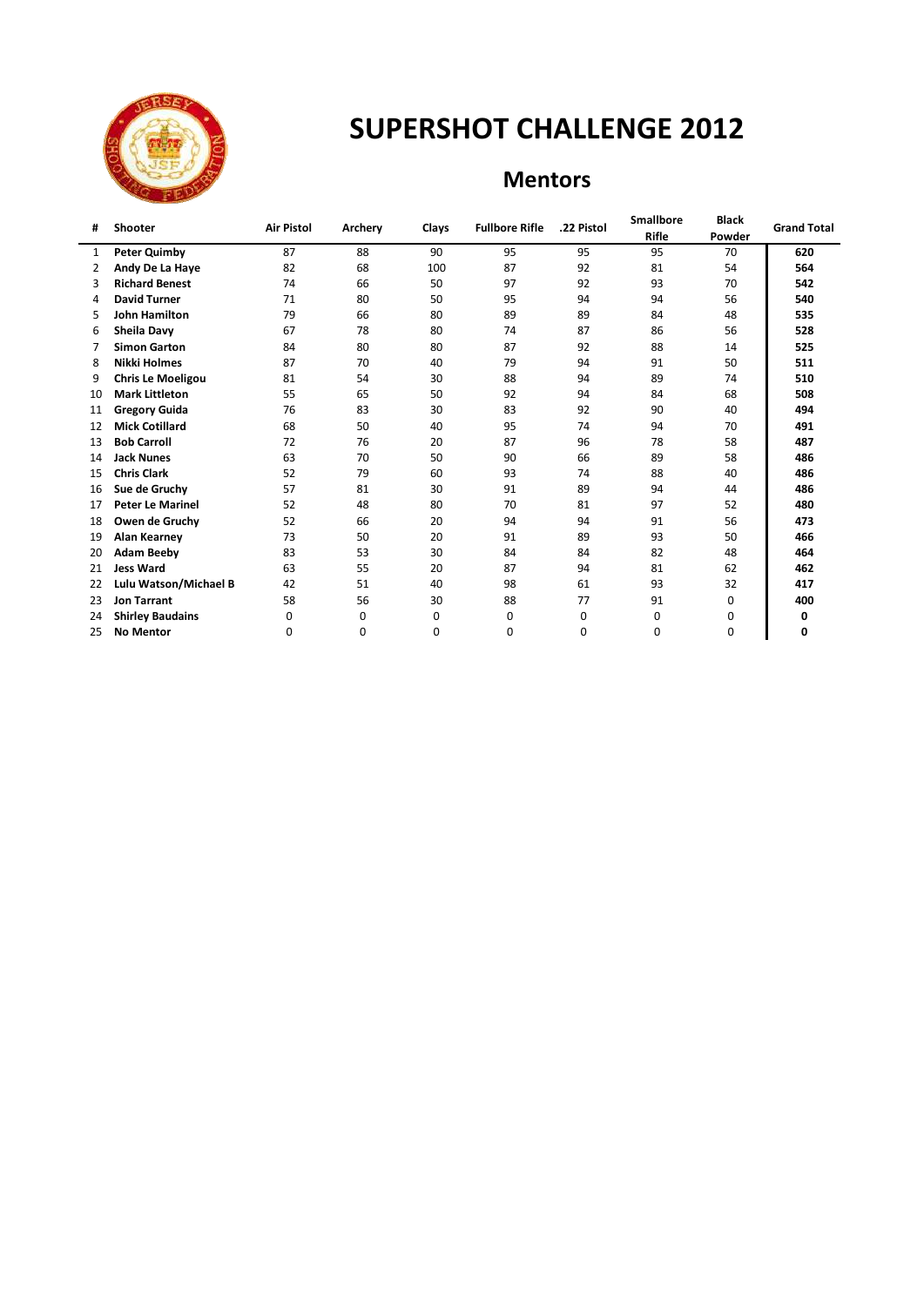

### **Mentors**

|                          |                |                   |         |       |                       | <b>Smallbore</b> | <b>Black</b> | <b>Grand Total</b> |
|--------------------------|----------------|-------------------|---------|-------|-----------------------|------------------|--------------|--------------------|
|                          |                |                   |         |       |                       |                  | Powder       |                    |
| <b>Peter Quimby</b>      | 87             | 88                | 90      | 95    | 95                    | 95               | 70           | 620                |
| Andy De La Haye          | 82             | 68                | 100     | 87    | 92                    | 81               | 54           | 564                |
| <b>Richard Benest</b>    | 74             | 66                | 50      | 97    | 92                    | 93               | 70           | 542                |
| <b>David Turner</b>      | 71             | 80                | 50      | 95    | 94                    | 94               | 56           | 540                |
| <b>John Hamilton</b>     | 79             | 66                | 80      | 89    | 89                    | 84               | 48           | 535                |
| <b>Sheila Davy</b>       | 67             | 78                | 80      | 74    | 87                    | 86               | 56           | 528                |
| <b>Simon Garton</b>      | 84             | 80                | 80      | 87    | 92                    | 88               | 14           | 525                |
| Nikki Holmes             | 87             | 70                | 40      | 79    | 94                    | 91               | 50           | 511                |
| <b>Chris Le Moeligou</b> | 81             | 54                | 30      | 88    | 94                    | 89               | 74           | 510                |
| <b>Mark Littleton</b>    | 55             | 65                | 50      | 92    | 94                    | 84               | 68           | 508                |
| <b>Gregory Guida</b>     | 76             | 83                | 30      | 83    | 92                    | 90               | 40           | 494                |
| <b>Mick Cotillard</b>    | 68             | 50                | 40      | 95    | 74                    | 94               | 70           | 491                |
| <b>Bob Carroll</b>       | 72             | 76                | 20      | 87    | 96                    | 78               | 58           | 487                |
| <b>Jack Nunes</b>        | 63             | 70                | 50      | 90    | 66                    | 89               | 58           | 486                |
| <b>Chris Clark</b>       | 52             | 79                | 60      | 93    | 74                    | 88               | 40           | 486                |
| Sue de Gruchy            | 57             | 81                | 30      | 91    | 89                    | 94               | 44           | 486                |
| <b>Peter Le Marinel</b>  | 52             | 48                | 80      | 70    | 81                    | 97               | 52           | 480                |
| Owen de Gruchy           | 52             | 66                | 20      | 94    | 94                    | 91               | 56           | 473                |
| <b>Alan Kearney</b>      | 73             | 50                | 20      | 91    | 89                    | 93               | 50           | 466                |
| <b>Adam Beeby</b>        | 83             | 53                | 30      | 84    | 84                    | 82               | 48           | 464                |
| <b>Jess Ward</b>         | 63             | 55                | 20      | 87    | 94                    | 81               | 62           | 462                |
| Lulu Watson/Michael B    | 42             | 51                | 40      | 98    | 61                    | 93               | 32           | 417                |
| <b>Jon Tarrant</b>       | 58             | 56                | 30      | 88    | 77                    | 91               | 0            | 400                |
| <b>Shirley Baudains</b>  | $\Omega$       | 0                 | 0       | 0     | 0                     | 0                | 0            | 0                  |
| <b>No Mentor</b>         | 0              | 0                 | 0       | 0     | 0                     | 0                | $\mathbf 0$  | 0                  |
|                          | <b>Shooter</b> | <b>Air Pistol</b> | Archery | Clays | <b>Fullbore Rifle</b> | .22 Pistol       | Rifle        |                    |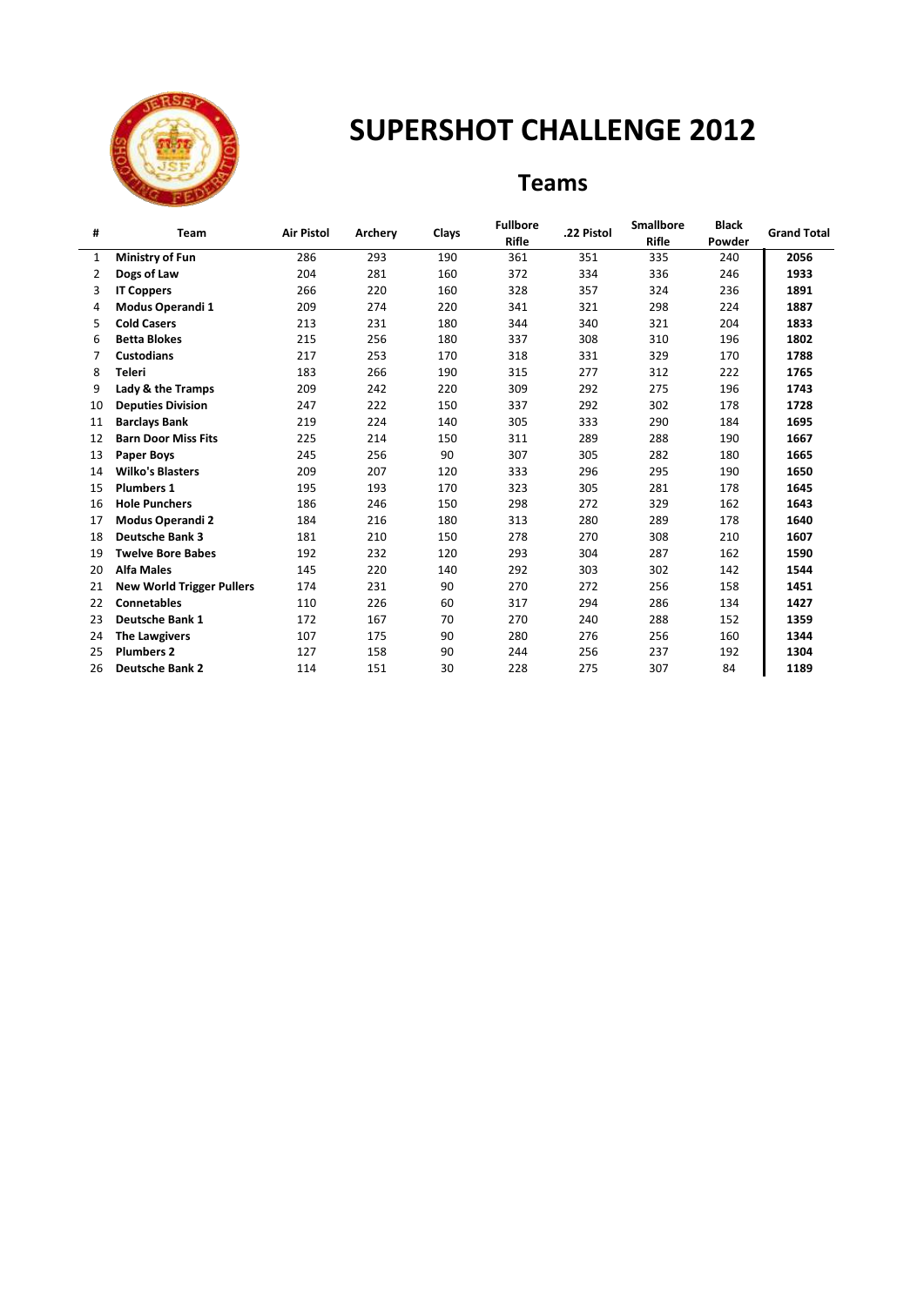

l,

# **SUPERSHOT CHALLENGE 2012**

### **Teams**

| #  | Team                             | <b>Air Pistol</b> | Archery | Clays | <b>Fullbore</b> | .22 Pistol | <b>Smallbore</b> | <b>Black</b> | <b>Grand Total</b> |
|----|----------------------------------|-------------------|---------|-------|-----------------|------------|------------------|--------------|--------------------|
|    |                                  |                   |         |       | <b>Rifle</b>    |            | <b>Rifle</b>     | Powder       |                    |
| 1  | <b>Ministry of Fun</b>           | 286               | 293     | 190   | 361             | 351        | 335              | 240          | 2056               |
| 2  | Dogs of Law                      | 204               | 281     | 160   | 372             | 334        | 336              | 246          | 1933               |
| 3  | <b>IT Coppers</b>                | 266               | 220     | 160   | 328             | 357        | 324              | 236          | 1891               |
| 4  | Modus Operandi 1                 | 209               | 274     | 220   | 341             | 321        | 298              | 224          | 1887               |
| 5. | <b>Cold Casers</b>               | 213               | 231     | 180   | 344             | 340        | 321              | 204          | 1833               |
| 6  | <b>Betta Blokes</b>              | 215               | 256     | 180   | 337             | 308        | 310              | 196          | 1802               |
| 7  | <b>Custodians</b>                | 217               | 253     | 170   | 318             | 331        | 329              | 170          | 1788               |
| 8  | <b>Teleri</b>                    | 183               | 266     | 190   | 315             | 277        | 312              | 222          | 1765               |
| 9  | Lady & the Tramps                | 209               | 242     | 220   | 309             | 292        | 275              | 196          | 1743               |
| 10 | <b>Deputies Division</b>         | 247               | 222     | 150   | 337             | 292        | 302              | 178          | 1728               |
| 11 | <b>Barclays Bank</b>             | 219               | 224     | 140   | 305             | 333        | 290              | 184          | 1695               |
| 12 | <b>Barn Door Miss Fits</b>       | 225               | 214     | 150   | 311             | 289        | 288              | 190          | 1667               |
| 13 | <b>Paper Boys</b>                | 245               | 256     | 90    | 307             | 305        | 282              | 180          | 1665               |
| 14 | <b>Wilko's Blasters</b>          | 209               | 207     | 120   | 333             | 296        | 295              | 190          | 1650               |
| 15 | <b>Plumbers 1</b>                | 195               | 193     | 170   | 323             | 305        | 281              | 178          | 1645               |
| 16 | <b>Hole Punchers</b>             | 186               | 246     | 150   | 298             | 272        | 329              | 162          | 1643               |
| 17 | <b>Modus Operandi 2</b>          | 184               | 216     | 180   | 313             | 280        | 289              | 178          | 1640               |
| 18 | <b>Deutsche Bank 3</b>           | 181               | 210     | 150   | 278             | 270        | 308              | 210          | 1607               |
| 19 | <b>Twelve Bore Babes</b>         | 192               | 232     | 120   | 293             | 304        | 287              | 162          | 1590               |
| 20 | <b>Alfa Males</b>                | 145               | 220     | 140   | 292             | 303        | 302              | 142          | 1544               |
| 21 | <b>New World Trigger Pullers</b> | 174               | 231     | 90    | 270             | 272        | 256              | 158          | 1451               |
| 22 | <b>Connetables</b>               | 110               | 226     | 60    | 317             | 294        | 286              | 134          | 1427               |
| 23 | <b>Deutsche Bank 1</b>           | 172               | 167     | 70    | 270             | 240        | 288              | 152          | 1359               |
| 24 | <b>The Lawgivers</b>             | 107               | 175     | 90    | 280             | 276        | 256              | 160          | 1344               |
| 25 | <b>Plumbers 2</b>                | 127               | 158     | 90    | 244             | 256        | 237              | 192          | 1304               |
| 26 | <b>Deutsche Bank 2</b>           | 114               | 151     | 30    | 228             | 275        | 307              | 84           | 1189               |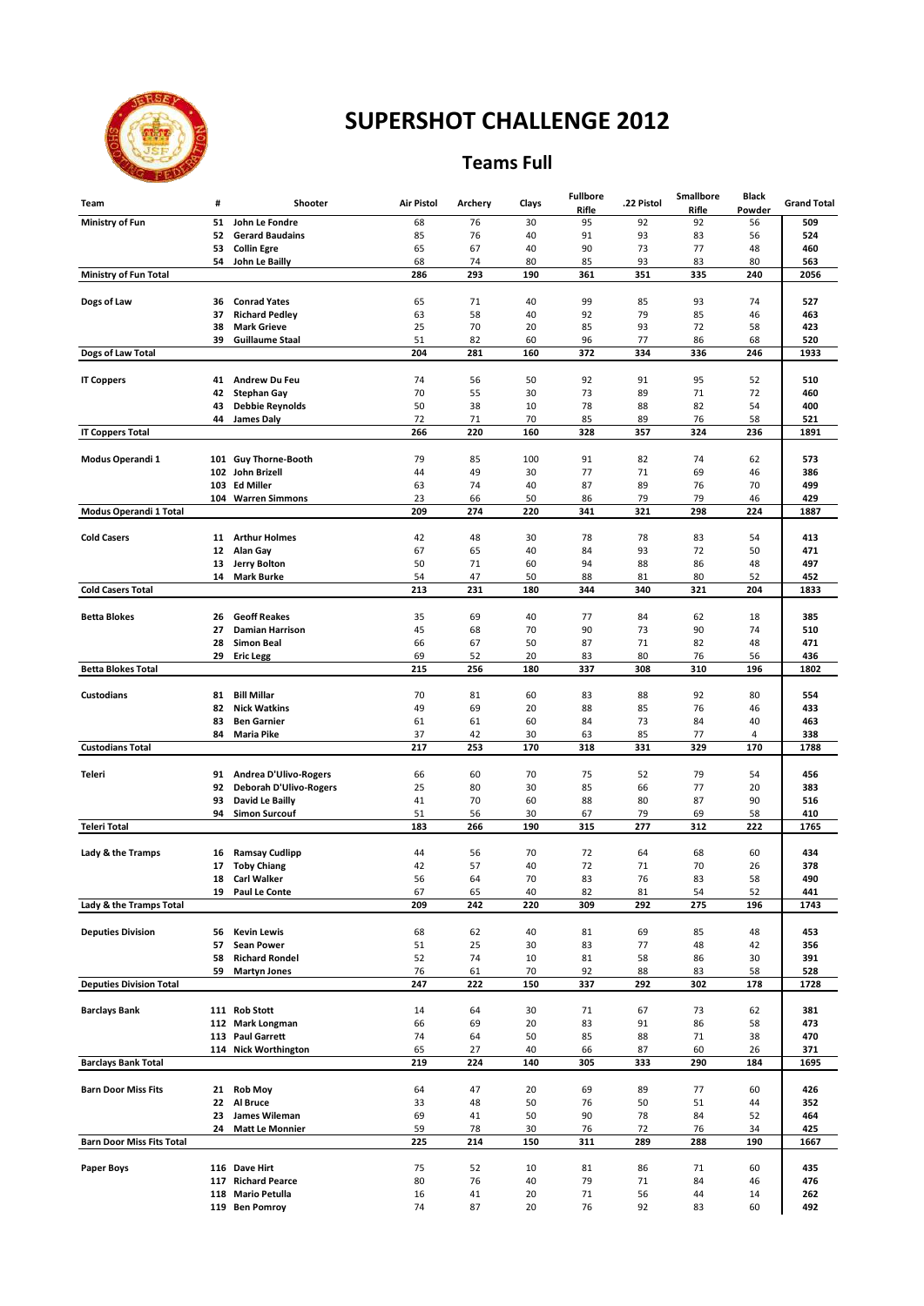

#### **Teams Full**

| Team                             | #        | Shooter                                                | <b>Air Pistol</b> | Archery   | Clays     | <b>Fullbore</b><br>Rifle | .22 Pistol | <b>Smallbore</b><br>Rifle | <b>Black</b><br>Powder | <b>Grand Total</b> |
|----------------------------------|----------|--------------------------------------------------------|-------------------|-----------|-----------|--------------------------|------------|---------------------------|------------------------|--------------------|
| Ministry of Fun                  | 51       | John Le Fondre                                         | 68                | 76        | 30        | 95                       | 92         | 92                        | 56                     | 509                |
|                                  | 52       | <b>Gerard Baudains</b>                                 | 85                | 76        | 40        | 91                       | 93         | 83                        | 56                     | 524                |
|                                  | 53<br>54 | <b>Collin Egre</b><br>John Le Bailly                   | 65<br>68          | 67<br>74  | 40<br>80  | 90<br>85                 | 73<br>93   | 77<br>83                  | 48<br>80               | 460<br>563         |
| Ministry of Fun Total            |          |                                                        | 286               | 293       | 190       | 361                      | 351        | 335                       | 240                    | 2056               |
|                                  |          |                                                        |                   |           |           |                          |            |                           |                        |                    |
| Dogs of Law                      | 36       | <b>Conrad Yates</b>                                    | 65                | 71        | 40        | 99                       | 85         | 93                        | 74                     | 527                |
|                                  | 37<br>38 | <b>Richard Pedley</b><br><b>Mark Grieve</b>            | 63<br>25          | 58<br>70  | 40<br>20  | 92<br>85                 | 79<br>93   | 85<br>72                  | 46<br>58               | 463<br>423         |
|                                  | 39       | <b>Guillaume Staal</b>                                 | 51                | 82        | 60        | 96                       | 77         | 86                        | 68                     | 520                |
| Dogs of Law Total                |          |                                                        | 204               | 281       | 160       | 372                      | 334        | 336                       | 246                    | 1933               |
|                                  |          |                                                        |                   |           |           |                          |            |                           |                        |                    |
| <b>IT Coppers</b>                | 41<br>42 | <b>Andrew Du Feu</b><br><b>Stephan Gay</b>             | 74<br>70          | 56<br>55  | 50<br>30  | 92<br>73                 | 91<br>89   | 95<br>71                  | 52<br>72               | 510<br>460         |
|                                  | 43       | <b>Debbie Reynolds</b>                                 | 50                | 38        | 10        | 78                       | 88         | 82                        | 54                     | 400                |
|                                  | 44       | <b>James Daly</b>                                      | 72                | 71        | 70        | 85                       | 89         | 76                        | 58                     | 521                |
| <b>IT Coppers Total</b>          |          |                                                        | 266               | 220       | 160       | 328                      | 357        | 324                       | 236                    | 1891               |
| Modus Operandi 1                 |          | 101 Guy Thorne-Booth                                   | 79                | 85        | 100       | 91                       | 82         | 74                        | 62                     | 573                |
|                                  |          | 102 John Brizell                                       | 44                | 49        | 30        | 77                       | 71         | 69                        | 46                     | 386                |
|                                  |          | 103 Ed Miller                                          | 63                | 74        | 40        | 87                       | 89         | 76                        | 70                     | 499                |
|                                  |          | 104 Warren Simmons                                     | 23                | 66        | 50        | 86                       | 79         | 79                        | 46                     | 429                |
| Modus Operandi 1 Total           |          |                                                        | 209               | 274       | 220       | 341                      | 321        | 298                       | 224                    | 1887               |
| <b>Cold Casers</b>               | 11       | <b>Arthur Holmes</b>                                   | 42                | 48        | 30        | 78                       | 78         | 83                        | 54                     | 413                |
|                                  | 12       | Alan Gay                                               | 67                | 65        | 40        | 84                       | 93         | 72                        | 50                     | 471                |
|                                  | 13       | <b>Jerry Bolton</b>                                    | 50                | 71        | 60        | 94                       | 88         | 86                        | 48                     | 497                |
| <b>Cold Casers Total</b>         | 14       | <b>Mark Burke</b>                                      | 54<br>213         | 47<br>231 | 50<br>180 | 88<br>344                | 81<br>340  | 80<br>321                 | 52<br>204              | 452<br>1833        |
|                                  |          |                                                        |                   |           |           |                          |            |                           |                        |                    |
| <b>Betta Blokes</b>              | 26       | <b>Geoff Reakes</b>                                    | 35                | 69        | 40        | 77                       | 84         | 62                        | 18                     | 385                |
|                                  | 27       | <b>Damian Harrison</b>                                 | 45                | 68        | 70        | 90                       | 73         | 90                        | 74                     | 510                |
|                                  | 28<br>29 | <b>Simon Beal</b><br><b>Eric Legg</b>                  | 66<br>69          | 67<br>52  | 50<br>20  | 87<br>83                 | 71<br>80   | 82<br>76                  | 48<br>56               | 471<br>436         |
| <b>Betta Blokes Total</b>        |          |                                                        | 215               | 256       | 180       | 337                      | 308        | 310                       | 196                    | 1802               |
|                                  |          |                                                        |                   |           |           |                          |            |                           |                        |                    |
| <b>Custodians</b>                | 81       | <b>Bill Millar</b>                                     | 70                | 81        | 60        | 83                       | 88         | 92                        | 80                     | 554                |
|                                  | 82<br>83 | <b>Nick Watkins</b><br><b>Ben Garnier</b>              | 49<br>61          | 69<br>61  | 20<br>60  | 88<br>84                 | 85<br>73   | 76<br>84                  | 46<br>40               | 433<br>463         |
|                                  | 84       | <b>Maria Pike</b>                                      | 37                | 42        | 30        | 63                       | 85         | 77                        | 4                      | 338                |
| <b>Custodians Total</b>          |          |                                                        | 217               | 253       | 170       | 318                      | 331        | 329                       | 170                    | 1788               |
|                                  |          |                                                        |                   |           |           |                          |            |                           |                        |                    |
| Teleri                           | 91<br>92 | <b>Andrea D'Ulivo-Rogers</b><br>Deborah D'Ulivo-Rogers | 66<br>25          | 60<br>80  | 70<br>30  | 75<br>85                 | 52<br>66   | 79<br>77                  | 54<br>20               | 456<br>383         |
|                                  | 93       | David Le Bailly                                        | 41                | 70        | 60        | 88                       | 80         | 87                        | 90                     | 516                |
|                                  | 94       | <b>Simon Surcouf</b>                                   | 51                | 56        | 30        | 67                       | 79         | 69                        | 58                     | 410                |
| <b>Teleri Total</b>              |          |                                                        | 183               | 266       | 190       | 315                      | 277        | 312                       | 222                    | 1765               |
| Lady & the Tramps                | 16       | <b>Ramsay Cudlipp</b>                                  | 44                | 56        | 70        | 72                       | 64         | 68                        | 60                     | 434                |
|                                  | 17       | <b>Toby Chiang</b>                                     | 42                | 57        | 40        | 72                       | 71         | 70                        | 26                     | 378                |
|                                  | 18       | <b>Carl Walker</b>                                     | 56                | 64        | 70        | 83                       | 76         | 83                        | 58                     | 490                |
|                                  | 19       | <b>Paul Le Conte</b>                                   | 67                | 65        | 40        | 82                       | 81         | 54                        | 52                     | 441                |
| Lady & the Tramps Total          |          |                                                        | 209               | 242       | 220       | 309                      | 292        | 275                       | 196                    | 1743               |
| <b>Deputies Division</b>         | 56       | <b>Kevin Lewis</b>                                     | 68                | 62        | 40        | 81                       | 69         | 85                        | 48                     | 453                |
|                                  | 57       | <b>Sean Power</b>                                      | 51                | 25        | 30        | 83                       | 77         | 48                        | 42                     | 356                |
|                                  | 58       | <b>Richard Rondel</b>                                  | 52                | 74        | 10        | 81                       | 58         | 86                        | 30                     | 391                |
| <b>Deputies Division Total</b>   | 59       | <b>Martyn Jones</b>                                    | 76<br>247         | 61<br>222 | 70<br>150 | 92<br>337                | 88<br>292  | 83<br>302                 | 58<br>178              | 528<br>1728        |
|                                  |          |                                                        |                   |           |           |                          |            |                           |                        |                    |
| <b>Barclays Bank</b>             |          | 111 Rob Stott                                          | 14                | 64        | 30        | 71                       | 67         | 73                        | 62                     | 381                |
|                                  |          | 112 Mark Longman                                       | 66                | 69        | 20        | 83                       | 91         | 86                        | 58                     | 473                |
|                                  |          | 113 Paul Garrett<br>114 Nick Worthington               | 74<br>65          | 64<br>27  | 50<br>40  | 85<br>66                 | 88<br>87   | 71<br>60                  | 38<br>26               | 470<br>371         |
| <b>Barclays Bank Total</b>       |          |                                                        | 219               | 224       | 140       | 305                      | 333        | 290                       | 184                    | 1695               |
|                                  |          |                                                        |                   |           |           |                          |            |                           |                        |                    |
| <b>Barn Door Miss Fits</b>       | 21       | <b>Rob Moy</b>                                         | 64                | 47        | 20        | 69                       | 89         | 77                        | 60                     | 426                |
|                                  | 22<br>23 | Al Bruce<br>James Wileman                              | 33<br>69          | 48<br>41  | 50<br>50  | 76<br>90                 | 50<br>78   | 51<br>84                  | 44<br>52               | 352<br>464         |
|                                  | 24       | <b>Matt Le Monnier</b>                                 | 59                | 78        | 30        | 76                       | 72         | 76                        | 34                     | 425                |
| <b>Barn Door Miss Fits Total</b> |          |                                                        | 225               | 214       | 150       | 311                      | 289        | 288                       | 190                    | 1667               |
|                                  |          |                                                        |                   |           |           |                          |            |                           |                        |                    |
| Paper Boys                       |          | 116 Dave Hirt<br>117 Richard Pearce                    | 75<br>80          | 52<br>76  | 10<br>40  | 81<br>79                 | 86<br>71   | 71<br>84                  | 60<br>46               | 435<br>476         |
|                                  |          | 118 Mario Petulla                                      | 16                | 41        | 20        | 71                       | 56         | 44                        | 14                     | 262                |
|                                  |          | 119 Ben Pomroy                                         | 74                | 87        | 20        | 76                       | 92         | 83                        | 60                     | 492                |